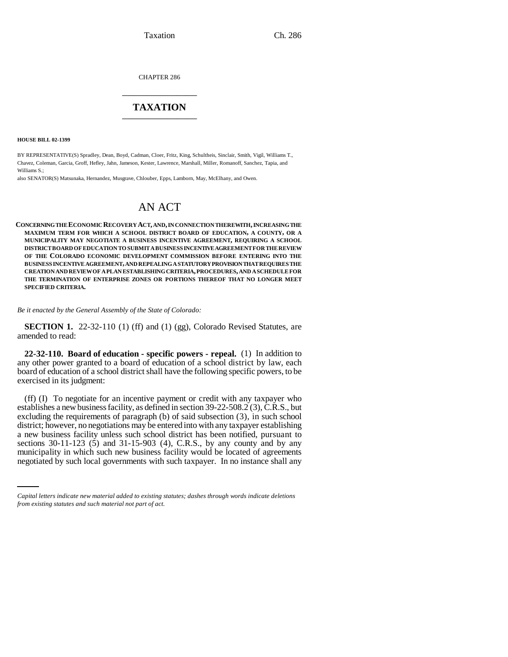CHAPTER 286 \_\_\_\_\_\_\_\_\_\_\_\_\_\_\_

## **TAXATION** \_\_\_\_\_\_\_\_\_\_\_\_\_\_\_

**HOUSE BILL 02-1399**

BY REPRESENTATIVE(S) Spradley, Dean, Boyd, Cadman, Cloer, Fritz, King, Schultheis, Sinclair, Smith, Vigil, Williams T., Chavez, Coleman, Garcia, Groff, Hefley, Jahn, Jameson, Kester, Lawrence, Marshall, Miller, Romanoff, Sanchez, Tapia, and Williams S.;

also SENATOR(S) Matsunaka, Hernandez, Musgrave, Chlouber, Epps, Lamborn, May, McElhany, and Owen.

# AN ACT

**CONCERNING THE ECONOMIC RECOVERY ACT, AND, IN CONNECTION THEREWITH, INCREASING THE MAXIMUM TERM FOR WHICH A SCHOOL DISTRICT BOARD OF EDUCATION, A COUNTY, OR A MUNICIPALITY MAY NEGOTIATE A BUSINESS INCENTIVE AGREEMENT, REQUIRING A SCHOOL DISTRICT BOARD OF EDUCATION TO SUBMIT A BUSINESS INCENTIVE AGREEMENT FOR THE REVIEW OF THE COLORADO ECONOMIC DEVELOPMENT COMMISSION BEFORE ENTERING INTO THE BUSINESS INCENTIVE AGREEMENT, AND REPEALING A STATUTORY PROVISION THAT REQUIRES THE CREATION AND REVIEW OF A PLAN ESTABLISHING CRITERIA, PROCEDURES, AND A SCHEDULE FOR THE TERMINATION OF ENTERPRISE ZONES OR PORTIONS THEREOF THAT NO LONGER MEET SPECIFIED CRITERIA.**

#### *Be it enacted by the General Assembly of the State of Colorado:*

**SECTION 1.** 22-32-110 (1) (ff) and (1) (gg), Colorado Revised Statutes, are amended to read:

**22-32-110. Board of education - specific powers - repeal.** (1) In addition to any other power granted to a board of education of a school district by law, each board of education of a school district shall have the following specific powers, to be exercised in its judgment:

sections 30-11-123 (5) and 31-15-903 (4), C.R.S., by any county and by any (ff) (I) To negotiate for an incentive payment or credit with any taxpayer who establishes a new business facility, as defined in section 39-22-508.2 (3), C.R.S., but excluding the requirements of paragraph (b) of said subsection (3), in such school district; however, no negotiations may be entered into with any taxpayer establishing a new business facility unless such school district has been notified, pursuant to municipality in which such new business facility would be located of agreements negotiated by such local governments with such taxpayer. In no instance shall any

*Capital letters indicate new material added to existing statutes; dashes through words indicate deletions from existing statutes and such material not part of act.*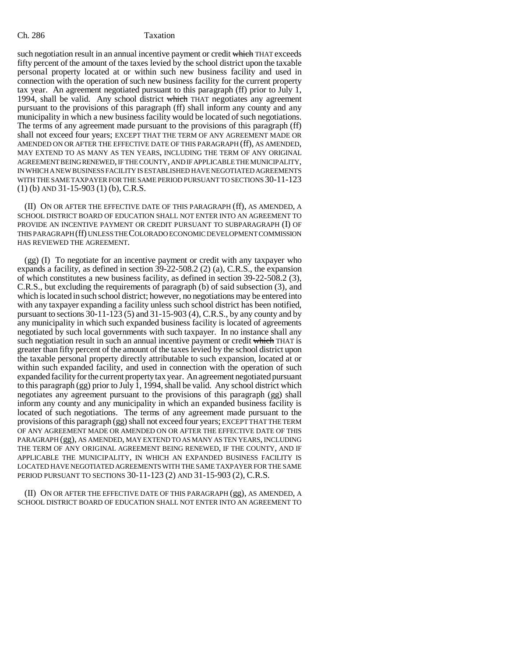such negotiation result in an annual incentive payment or credit which THAT exceeds fifty percent of the amount of the taxes levied by the school district upon the taxable personal property located at or within such new business facility and used in connection with the operation of such new business facility for the current property tax year. An agreement negotiated pursuant to this paragraph (ff) prior to July 1, 1994, shall be valid. Any school district which THAT negotiates any agreement pursuant to the provisions of this paragraph (ff) shall inform any county and any municipality in which a new business facility would be located of such negotiations. The terms of any agreement made pursuant to the provisions of this paragraph (ff) shall not exceed four years; EXCEPT THAT THE TERM OF ANY AGREEMENT MADE OR AMENDED ON OR AFTER THE EFFECTIVE DATE OF THIS PARAGRAPH (ff), AS AMENDED, MAY EXTEND TO AS MANY AS TEN YEARS, INCLUDING THE TERM OF ANY ORIGINAL AGREEMENT BEING RENEWED, IF THE COUNTY, AND IF APPLICABLE THE MUNICIPALITY, IN WHICH A NEW BUSINESS FACILITY IS ESTABLISHED HAVE NEGOTIATED AGREEMENTS WITH THE SAME TAXPAYER FOR THE SAME PERIOD PURSUANT TO SECTIONS 30-11-123 (1) (b) AND 31-15-903 (1) (b), C.R.S.

(II) ON OR AFTER THE EFFECTIVE DATE OF THIS PARAGRAPH (ff), AS AMENDED, A SCHOOL DISTRICT BOARD OF EDUCATION SHALL NOT ENTER INTO AN AGREEMENT TO PROVIDE AN INCENTIVE PAYMENT OR CREDIT PURSUANT TO SUBPARAGRAPH (I) OF THIS PARAGRAPH (ff) UNLESS THE COLORADO ECONOMIC DEVELOPMENT COMMISSION HAS REVIEWED THE AGREEMENT.

(gg) (I) To negotiate for an incentive payment or credit with any taxpayer who expands a facility, as defined in section 39-22-508.2 (2) (a), C.R.S., the expansion of which constitutes a new business facility, as defined in section 39-22-508.2 (3), C.R.S., but excluding the requirements of paragraph (b) of said subsection (3), and which is located in such school district; however, no negotiations may be entered into with any taxpayer expanding a facility unless such school district has been notified, pursuant to sections 30-11-123 (5) and 31-15-903 (4), C.R.S., by any county and by any municipality in which such expanded business facility is located of agreements negotiated by such local governments with such taxpayer. In no instance shall any such negotiation result in such an annual incentive payment or credit which THAT is greater than fifty percent of the amount of the taxes levied by the school district upon the taxable personal property directly attributable to such expansion, located at or within such expanded facility, and used in connection with the operation of such expanded facility for the current property tax year. An agreement negotiated pursuant to this paragraph (gg) prior to July 1, 1994, shall be valid. Any school district which negotiates any agreement pursuant to the provisions of this paragraph (gg) shall inform any county and any municipality in which an expanded business facility is located of such negotiations. The terms of any agreement made pursuant to the provisions of this paragraph (gg) shall not exceed four years; EXCEPT THAT THE TERM OF ANY AGREEMENT MADE OR AMENDED ON OR AFTER THE EFFECTIVE DATE OF THIS PARAGRAPH (gg), AS AMENDED, MAY EXTEND TO AS MANY AS TEN YEARS, INCLUDING THE TERM OF ANY ORIGINAL AGREEMENT BEING RENEWED, IF THE COUNTY, AND IF APPLICABLE THE MUNICIPALITY, IN WHICH AN EXPANDED BUSINESS FACILITY IS LOCATED HAVE NEGOTIATED AGREEMENTS WITH THE SAME TAXPAYER FOR THE SAME PERIOD PURSUANT TO SECTIONS 30-11-123 (2) AND 31-15-903 (2), C.R.S.

(II) ON OR AFTER THE EFFECTIVE DATE OF THIS PARAGRAPH (gg), AS AMENDED, A SCHOOL DISTRICT BOARD OF EDUCATION SHALL NOT ENTER INTO AN AGREEMENT TO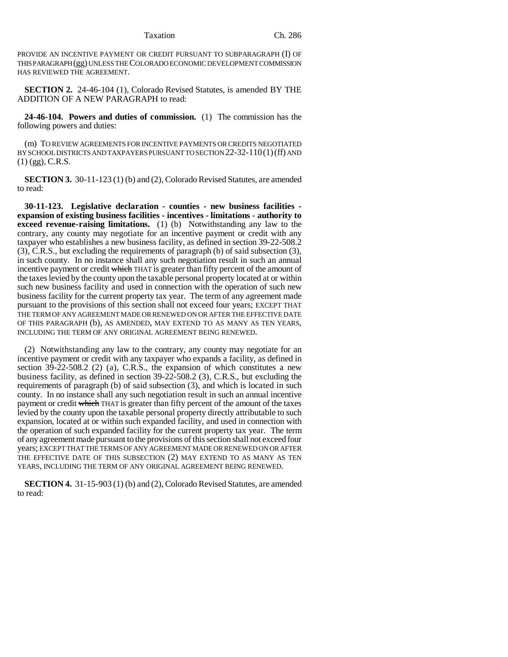Taxation Ch. 286

PROVIDE AN INCENTIVE PAYMENT OR CREDIT PURSUANT TO SUBPARAGRAPH (I) OF THIS PARAGRAPH (gg) UNLESS THE COLORADO ECONOMIC DEVELOPMENT COMMISSION HAS REVIEWED THE AGREEMENT.

**SECTION 2.** 24-46-104 (1), Colorado Revised Statutes, is amended BY THE ADDITION OF A NEW PARAGRAPH to read:

**24-46-104. Powers and duties of commission.** (1) The commission has the following powers and duties:

(m) TO REVIEW AGREEMENTS FOR INCENTIVE PAYMENTS OR CREDITS NEGOTIATED BY SCHOOL DISTRICTS AND TAXPAYERS PURSUANT TO SECTION 22-32-110(1)(ff) AND  $(1)$  (gg), C.R.S.

**SECTION 3.** 30-11-123 (1) (b) and (2), Colorado Revised Statutes, are amended to read:

**30-11-123. Legislative declaration - counties - new business facilities expansion of existing business facilities - incentives - limitations - authority to exceed revenue-raising limitations.** (1) (b) Notwithstanding any law to the contrary, any county may negotiate for an incentive payment or credit with any taxpayer who establishes a new business facility, as defined in section 39-22-508.2 (3), C.R.S., but excluding the requirements of paragraph (b) of said subsection (3), in such county. In no instance shall any such negotiation result in such an annual incentive payment or credit which THAT is greater than fifty percent of the amount of the taxes levied by the county upon the taxable personal property located at or within such new business facility and used in connection with the operation of such new business facility for the current property tax year. The term of any agreement made pursuant to the provisions of this section shall not exceed four years; EXCEPT THAT THE TERM OF ANY AGREEMENT MADE OR RENEWED ON OR AFTER THE EFFECTIVE DATE OF THIS PARAGRAPH (b), AS AMENDED, MAY EXTEND TO AS MANY AS TEN YEARS, INCLUDING THE TERM OF ANY ORIGINAL AGREEMENT BEING RENEWED.

(2) Notwithstanding any law to the contrary, any county may negotiate for an incentive payment or credit with any taxpayer who expands a facility, as defined in section 39-22-508.2 (2) (a), C.R.S., the expansion of which constitutes a new business facility, as defined in section 39-22-508.2 (3), C.R.S., but excluding the requirements of paragraph (b) of said subsection (3), and which is located in such county. In no instance shall any such negotiation result in such an annual incentive payment or credit which THAT is greater than fifty percent of the amount of the taxes levied by the county upon the taxable personal property directly attributable to such expansion, located at or within such expanded facility, and used in connection with the operation of such expanded facility for the current property tax year. The term of any agreement made pursuant to the provisions of this section shall not exceed four years; EXCEPT THAT THE TERMS OF ANY AGREEMENT MADE OR RENEWED ON OR AFTER THE EFFECTIVE DATE OF THIS SUBSECTION (2) MAY EXTEND TO AS MANY AS TEN YEARS, INCLUDING THE TERM OF ANY ORIGINAL AGREEMENT BEING RENEWED.

**SECTION 4.** 31-15-903 (1) (b) and (2), Colorado Revised Statutes, are amended to read: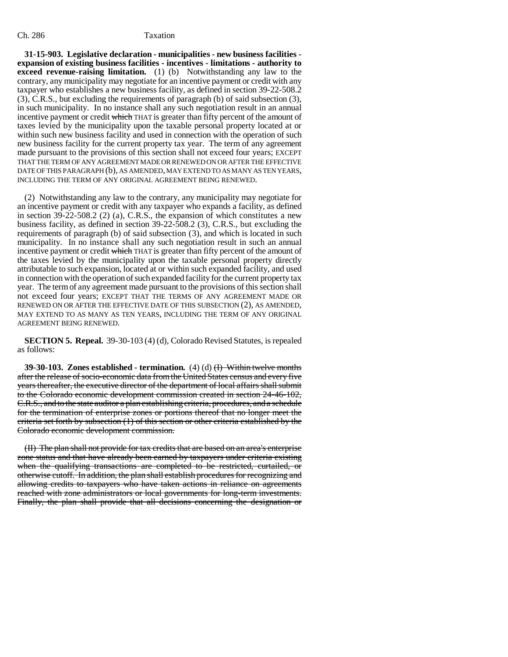### Ch. 286 Taxation

**31-15-903. Legislative declaration - municipalities - new business facilities expansion of existing business facilities - incentives - limitations - authority to exceed revenue-raising limitation.** (1) (b) Notwithstanding any law to the contrary, any municipality may negotiate for an incentive payment or credit with any taxpayer who establishes a new business facility, as defined in section 39-22-508.2 (3), C.R.S., but excluding the requirements of paragraph (b) of said subsection (3), in such municipality. In no instance shall any such negotiation result in an annual incentive payment or credit which THAT is greater than fifty percent of the amount of taxes levied by the municipality upon the taxable personal property located at or within such new business facility and used in connection with the operation of such new business facility for the current property tax year. The term of any agreement made pursuant to the provisions of this section shall not exceed four years; EXCEPT THAT THE TERM OF ANY AGREEMENT MADE OR RENEWED ON OR AFTER THE EFFECTIVE DATE OF THIS PARAGRAPH (b), AS AMENDED, MAY EXTEND TO AS MANY AS TEN YEARS, INCLUDING THE TERM OF ANY ORIGINAL AGREEMENT BEING RENEWED.

(2) Notwithstanding any law to the contrary, any municipality may negotiate for an incentive payment or credit with any taxpayer who expands a facility, as defined in section 39-22-508.2 (2) (a), C.R.S., the expansion of which constitutes a new business facility, as defined in section 39-22-508.2 (3), C.R.S., but excluding the requirements of paragraph (b) of said subsection (3), and which is located in such municipality. In no instance shall any such negotiation result in such an annual incentive payment or credit which THAT is greater than fifty percent of the amount of the taxes levied by the municipality upon the taxable personal property directly attributable to such expansion, located at or within such expanded facility, and used in connection with the operation of such expanded facility for the current property tax year. The term of any agreement made pursuant to the provisions of this section shall not exceed four years; EXCEPT THAT THE TERMS OF ANY AGREEMENT MADE OR RENEWED ON OR AFTER THE EFFECTIVE DATE OF THIS SUBSECTION (2), AS AMENDED, MAY EXTEND TO AS MANY AS TEN YEARS, INCLUDING THE TERM OF ANY ORIGINAL AGREEMENT BEING RENEWED.

**SECTION 5. Repeal.** 39-30-103 (4) (d), Colorado Revised Statutes, is repealed as follows:

**39-30-103. Zones established - termination.** (4) (d) (I) Within twelve months after the release of socio-economic data from the United States census and every five years thereafter, the executive director of the department of local affairs shall submit to the Colorado economic development commission created in section 24-46-102, C.R.S., and to the state auditor a plan establishing criteria, procedures, and a schedule for the termination of enterprise zones or portions thereof that no longer meet the criteria set forth by subsection (1) of this section or other criteria established by the Colorado economic development commission.

(II) The plan shall not provide for tax credits that are based on an area's enterprise zone status and that have already been earned by taxpayers under criteria existing when the qualifying transactions are completed to be restricted, curtailed, or otherwise cutoff. In addition, the plan shall establish procedures for recognizing and allowing credits to taxpayers who have taken actions in reliance on agreements reached with zone administrators or local governments for long-term investments. Finally, the plan shall provide that all decisions concerning the designation or